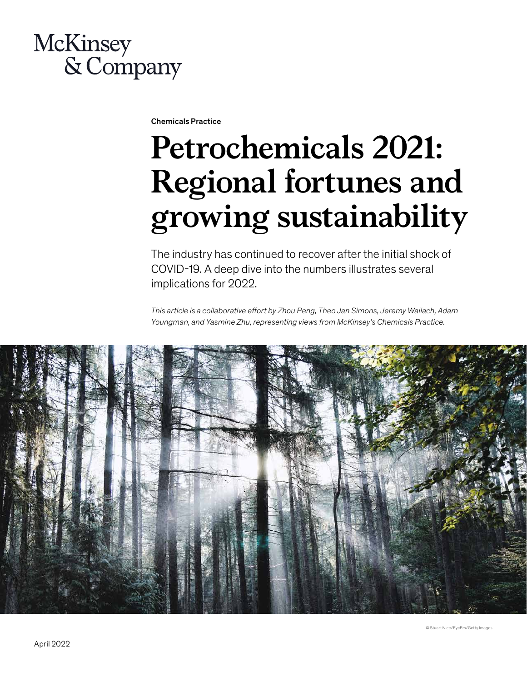# **McKinsey** & Company

Chemicals Practice

# **Petrochemicals 2021: Regional fortunes and growing sustainability**

The industry has continued to recover after the initial shock of COVID-19. A deep dive into the numbers illustrates several implications for 2022.

*This article is a collaborative effort by Zhou Peng, Theo Jan Simons, Jeremy Wallach, Adam Youngman, and Yasmine Zhu, representing views from McKinsey's Chemicals Practice.*

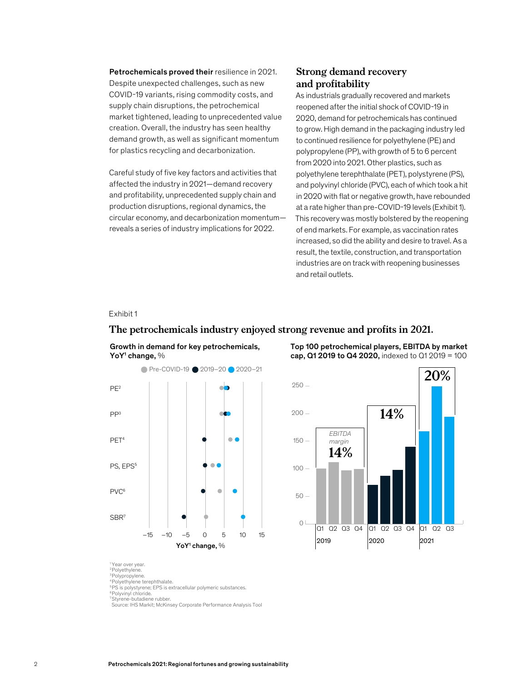Petrochemicals proved their resilience in 2021. Despite unexpected challenges, such as new COVID-19 variants, rising commodity costs, and supply chain disruptions, the petrochemical market tightened, leading to unprecedented value creation. Overall, the industry has seen healthy demand growth, as well as significant momentum for plastics recycling and decarbonization.

Careful study of five key factors and activities that affected the industry in 2021—demand recovery and profitability, unprecedented supply chain and production disruptions, regional dynamics, the circular economy, and decarbonization momentum reveals a series of industry implications for 2022.

#### **Strong demand recovery and profitability**

As industrials gradually recovered and markets reopened after the initial shock of COVID-19 in 2020, demand for petrochemicals has continued to grow. High demand in the packaging industry led to continued resilience for polyethylene (PE) and polypropylene (PP), with growth of 5 to 6 percent from 2020 into 2021. Other plastics, such as polyethylene terephthalate (PET), polystyrene (PS), and polyvinyl chloride (PVC), each of which took a hit in 2020 with flat or negative growth, have rebounded at a rate higher than pre-COVID-19 levels (Exhibit 1). This recovery was mostly bolstered by the reopening of end markets. For example, as vaccination rates increased, so did the ability and desire to travel. As a result, the textile, construction, and transportation industries are on track with reopening businesses and retail outlets.

#### Exhibit 1

# The petrochemicals industry enjoyed strong revenue and profits in 2021.



Growth in demand for key petrochemicals,

Top 100 petrochemical players, EBITDA by market cap, Q1 2019 to Q4 2020, indexed to Q1 2019 = 100



<sup>1</sup> Year over year

2 Polyethylene. 3 Polypropylene.

4 Polyethylene terephthalate.

<sup>5</sup>PS is polystyrene; EPS is extracellular polymeric substances.

6 Polyvinyl chloride. 7 Styrene-butadiene rubber.

Source: IHS Markit; McKinsey Corporate Performance Analysis Tool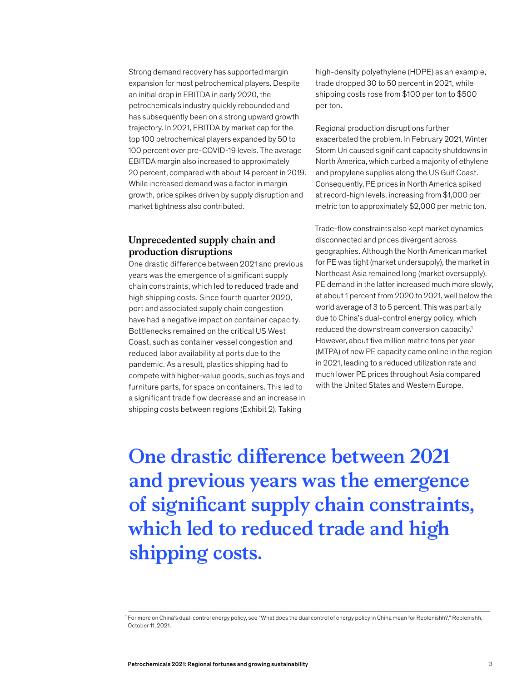Strong demand recovery has supported margin expansion for most petrochemical players. Despite an initial drop in EBITDA in early 2020, the petrochemicals industry quickly rebounded and has subsequently been on a strong upward growth trajectory. In 2021, EBITDA by market cap for the top 100 petrochemical players expanded by 50 to 100 percent over pre-COVID-19 levels. The average EBITDA margin also increased to approximately 20 percent, compared with about 14 percent in 2019. While increased demand was a factor in margin growth, price spikes driven by supply disruption and market tightness also contributed.

#### **Unprecedented supply chain and production disruptions**

One drastic difference between 2021 and previous years was the emergence of significant supply chain constraints, which led to reduced trade and high shipping costs. Since fourth quarter 2020, port and associated supply chain congestion have had a negative impact on container capacity. Bottlenecks remained on the critical US West Coast, such as container vessel congestion and reduced labor availability at ports due to the pandemic. As a result, plastics shipping had to compete with higher-value goods, such as toys and furniture parts, for space on containers. This led to a significant trade flow decrease and an increase in shipping costs between regions (Exhibit 2). Taking

high-density polyethylene (HDPE) as an example, trade dropped 30 to 50 percent in 2021, while shipping costs rose from \$100 per ton to \$500 per ton.

Regional production disruptions further exacerbated the problem. In February 2021, Winter Storm Uri caused significant capacity shutdowns in North America, which curbed a majority of ethylene and propylene supplies along the US Gulf Coast. Consequently, PE prices in North America spiked at record-high levels, increasing from \$1,000 per metric ton to approximately \$2,000 per metric ton.

Trade-flow constraints also kept market dynamics disconnected and prices divergent across geographies. Although the North American market for PE was tight (market undersupply), the market in Northeast Asia remained long (market oversupply). PE demand in the latter increased much more slowly, at about 1 percent from 2020 to 2021, well below the world average of 3 to 5 percent. This was partially due to China's dual-control energy policy, which reduced the downstream conversion capacity.1 However, about five million metric tons per year (MTPA) of new PE capacity came online in the region in 2021, leading to a reduced utilization rate and much lower PE prices throughout Asia compared with the United States and Western Europe.

**One drastic difference between 2021 and previous years was the emergence of significant supply chain constraints, which led to reduced trade and high shipping costs.**

<sup>1</sup> For more on China's dual-control energy policy, see "What does the dual control of energy policy in China mean for Replenishh?," Replenishh, October 11, 2021.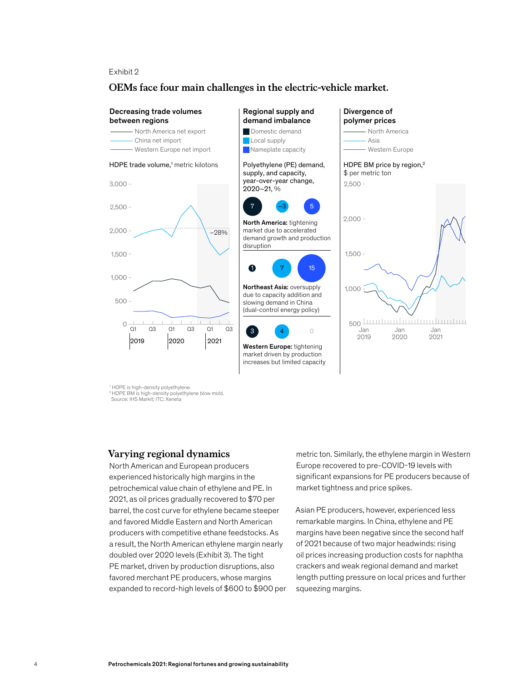$\mathsf E$ xhibit 2  $L$ Allibit  $2$ 

#### OEMs face four main challenges in the electric-vehicle market. **OEMs face four main challenges in the electric-vehicle market.**



1 HDPE is high-density polyethylene. 2 HDPE BM is high-density polyethylene blow mold. Source: IHS Markit; ITC; Xeneta

#### **Varying regional dynamics**

North American and European producers experienced historically high margins in the petrochemical value chain of ethylene and PE. In 2021, as oil prices gradually recovered to \$70 per barrel, the cost curve for ethylene became steeper and favored Middle Eastern and North American producers with competitive ethane feedstocks. As a result, the North American ethylene margin nearly doubled over 2020 levels (Exhibit 3). The tight PE market, driven by production disruptions, also favored merchant PE producers, whose margins expanded to record-high levels of \$600 to \$900 per metric ton. Similarly, the ethylene margin in Western Europe recovered to pre-COVID-19 levels with significant expansions for PE producers because of market tightness and price spikes.

Asian PE producers, however, experienced less remarkable margins. In China, ethylene and PE margins have been negative since the second half of 2021 because of two major headwinds: rising oil prices increasing production costs for naphtha crackers and weak regional demand and market length putting pressure on local prices and further squeezing margins.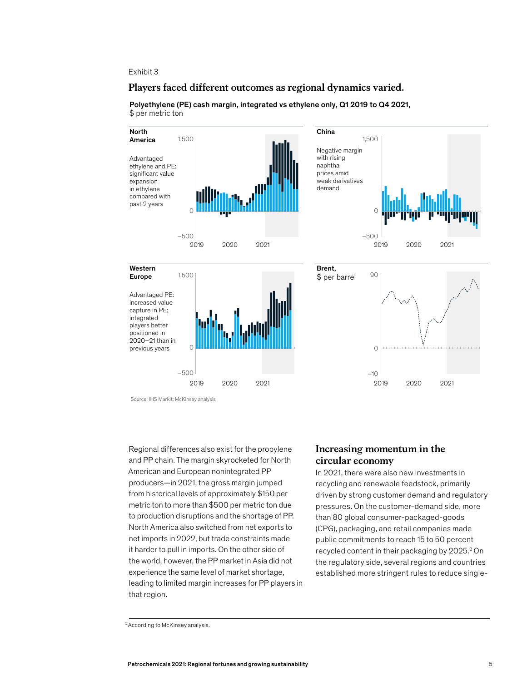#### Exhibit 3

# Players faced different outcomes as regional dynamics varied.



Polyethylene (PE) cash margin, integrated vs ethylene only, Q1 2019 to Q4 2021, \$ per metric ton

Regional differences also exist for the propylene and PP chain. The margin skyrocketed for North American and European nonintegrated PP producers—in 2021, the gross margin jumped from historical levels of approximately \$150 per metric ton to more than \$500 per metric ton due to production disruptions and the shortage of PP. North America also switched from net exports to net imports in 2022, but trade constraints made it harder to pull in imports. On the other side of the world, however, the PP market in Asia did not experience the same level of market shortage, leading to limited margin increases for PP players in that region.

#### **Increasing momentum in the circular economy**

In 2021, there were also new investments in recycling and renewable feedstock, primarily driven by strong customer demand and regulatory pressures. On the customer-demand side, more than 80 global consumer-packaged-goods (CPG), packaging, and retail companies made public commitments to reach 15 to 50 percent recycled content in their packaging by 2025.<sup>2</sup> On the regulatory side, several regions and countries established more stringent rules to reduce single-

Source: IHS Markit; McKinsey analysis

<sup>&</sup>lt;sup>2</sup> According to McKinsey analysis.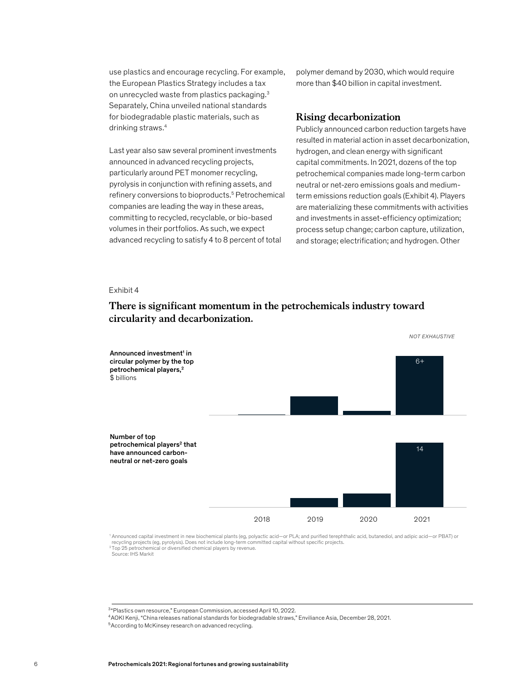use plastics and encourage recycling. For example, the European Plastics Strategy includes a tax on unrecycled waste from plastics packaging.3 Separately, China unveiled national standards for biodegradable plastic materials, such as drinking straws.4

Last year also saw several prominent investments announced in advanced recycling projects, particularly around PET monomer recycling, pyrolysis in conjunction with refining assets, and refinery conversions to bioproducts.<sup>5</sup> Petrochemical companies are leading the way in these areas, committing to recycled, recyclable, or bio-based volumes in their portfolios. As such, we expect advanced recycling to satisfy 4 to 8 percent of total

polymer demand by 2030, which would require more than \$40 billion in capital investment.

#### **Rising decarbonization**

Publicly announced carbon reduction targets have resulted in material action in asset decarbonization, hydrogen, and clean energy with significant capital commitments. In 2021, dozens of the top petrochemical companies made long-term carbon neutral or net-zero emissions goals and mediumterm emissions reduction goals (Exhibit 4). Players are materializing these commitments with activities and investments in asset-efficiency optimization; process setup change; carbon capture, utilization, and storage; electrification; and hydrogen. Other

 $\mathsf E$ xhibit 4  $\mathsf R$ 

### There is significant momentum in the petrochemicals industry toward circularity and decarbonization. **circularity and decarbonization.**



' Announced capital investment in new biochemical plants (eg, polyactic acid—or PLA; and purified terephthalic acid, butanediol, and adipic acid—or PBAT) or<br>recycling projects (eg, pyrolysis). Does not include long-term co  $2$ Top  $25$  petrochemical or diversified chemical players by revenue. Source: IHS Markit

<sup>3&</sup>quot;Plastics own resource," European Commission, accessed April 10, 2022.

<sup>4</sup>AOKI Kenji, "China releases national standards for biodegradable straws," Enviliance Asia, December 28, 2021.

<sup>&</sup>lt;sup>5</sup> According to McKinsey research on advanced recycling.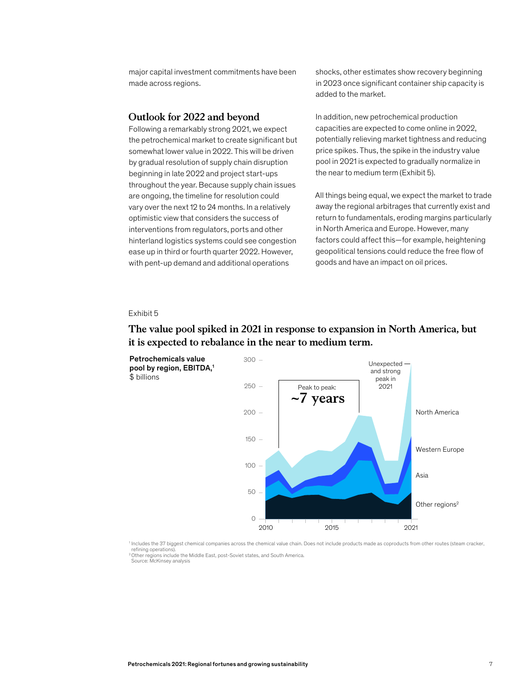major capital investment commitments have been made across regions.

#### **Outlook for 2022 and beyond**

Following a remarkably strong 2021, we expect the petrochemical market to create significant but somewhat lower value in 2022. This will be driven by gradual resolution of supply chain disruption beginning in late 2022 and project start-ups throughout the year. Because supply chain issues are ongoing, the timeline for resolution could vary over the next 12 to 24 months. In a relatively optimistic view that considers the success of interventions from regulators, ports and other hinterland logistics systems could see congestion ease up in third or fourth quarter 2022. However, with pent-up demand and additional operations

shocks, other estimates show recovery beginning in 2023 once significant container ship capacity is added to the market.

In addition, new petrochemical production capacities are expected to come online in 2022, potentially relieving market tightness and reducing price spikes. Thus, the spike in the industry value pool in 2021 is expected to gradually normalize in the near to medium term (Exhibit 5).

All things being equal, we expect the market to trade away the regional arbitrages that currently exist and return to fundamentals, eroding margins particularly in North America and Europe. However, many factors could affect this—for example, heightening geopolitical tensions could reduce the free flow of goods and have an impact on oil prices.

#### Exhibit 5

## The value pool spiked in 2021 in response to expansion in North America, **The value pool spiked in 2021 in response to expansion in North America, but**  but it is expected to rebalance in the near to medium term. **it is expected to rebalance in the near to medium term.**



<sup>1</sup> Includes the 37 biggest chemical companies across the chemical value chain. Does not include products made as coproducts from other routes (steam cracker, refining operations)

2 Other regions include the Middle East, post-Soviet states, and South America. Source: McKinsey analysis